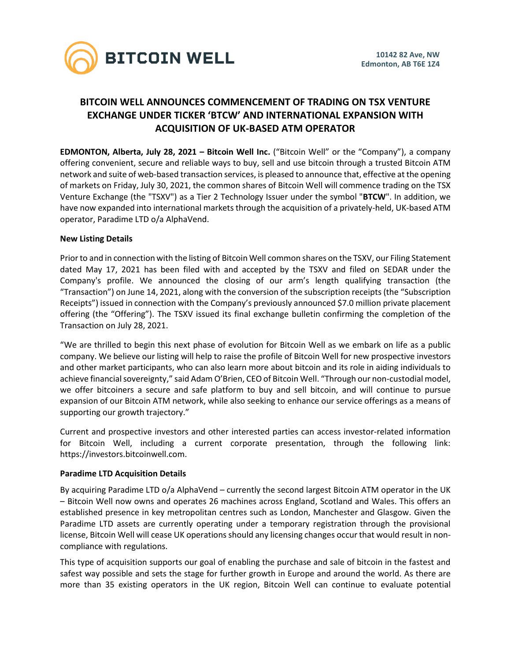

# **BITCOIN WELL ANNOUNCES COMMENCEMENT OF TRADING ON TSX VENTURE EXCHANGE UNDER TICKER 'BTCW' AND INTERNATIONAL EXPANSION WITH ACQUISITION OF UK-BASED ATM OPERATOR**

**EDMONTON, Alberta, July 28, 2021 – Bitcoin Well Inc.** ("Bitcoin Well" or the "Company"), a company offering convenient, secure and reliable ways to buy, sell and use bitcoin through a trusted Bitcoin ATM network and suite of web-based transaction services, is pleased to announce that, effective at the opening of markets on Friday, July 30, 2021, the common shares of Bitcoin Well will commence trading on the TSX Venture Exchange (the "TSXV") as a Tier 2 Technology Issuer under the symbol "**BTCW**". In addition, we have now expanded into international markets through the acquisition of a privately-held, UK-based ATM operator, Paradime LTD o/a AlphaVend.

## **New Listing Details**

Prior to and in connection with the listing of Bitcoin Well common shares on the TSXV, our Filing Statement dated May 17, 2021 has been filed with and accepted by the TSXV and filed on SEDAR under the Company's profile. We announced the closing of our arm's length qualifying transaction (the "Transaction") on June 14, 2021, along with the conversion of the subscription receipts (the "Subscription Receipts") issued in connection with the Company's previously announced \$7.0 million private placement offering (the "Offering"). The TSXV issued its final exchange bulletin confirming the completion of the Transaction on July 28, 2021.

"We are thrilled to begin this next phase of evolution for Bitcoin Well as we embark on life as a public company. We believe our listing will help to raise the profile of Bitcoin Well for new prospective investors and other market participants, who can also learn more about bitcoin and its role in aiding individuals to achieve financial sovereignty," said Adam O'Brien, CEO of Bitcoin Well. "Through our non-custodial model, we offer bitcoiners a secure and safe platform to buy and sell bitcoin, and will continue to pursue expansion of our Bitcoin ATM network, while also seeking to enhance our service offerings as a means of supporting our growth trajectory."

Current and prospective investors and other interested parties can access investor-related information for Bitcoin Well, including a current corporate presentation, through the following link: https://investors.bitcoinwell.com.

### **Paradime LTD Acquisition Details**

By acquiring Paradime LTD o/a AlphaVend – currently the second largest Bitcoin ATM operator in the UK – Bitcoin Well now owns and operates 26 machines across England, Scotland and Wales. This offers an established presence in key metropolitan centres such as London, Manchester and Glasgow. Given the Paradime LTD assets are currently operating under a temporary registration through the provisional license, Bitcoin Well will cease UK operations should any licensing changes occur that would result in noncompliance with regulations.

This type of acquisition supports our goal of enabling the purchase and sale of bitcoin in the fastest and safest way possible and sets the stage for further growth in Europe and around the world. As there are more than 35 existing operators in the UK region, Bitcoin Well can continue to evaluate potential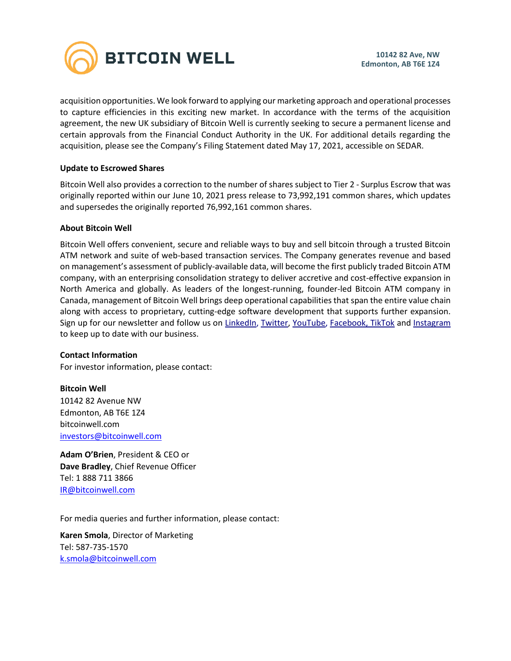

acquisition opportunities. We look forward to applying our marketing approach and operational processes to capture efficiencies in this exciting new market. In accordance with the terms of the acquisition agreement, the new UK subsidiary of Bitcoin Well is currently seeking to secure a permanent license and certain approvals from the Financial Conduct Authority in the UK. For additional details regarding the acquisition, please see the Company's Filing Statement dated May 17, 2021, accessible on SEDAR.

## **Update to Escrowed Shares**

Bitcoin Well also provides a correction to the number of shares subject to Tier 2 - Surplus Escrow that was originally reported within our June 10, 2021 press release to 73,992,191 common shares, which updates and supersedes the originally reported 76,992,161 common shares.

### **About Bitcoin Well**

Bitcoin Well offers convenient, secure and reliable ways to buy and sell bitcoin through a trusted Bitcoin ATM network and suite of web-based transaction services. The Company generates revenue and based on management's assessment of publicly-available data, will become the first publicly traded Bitcoin ATM company, with an enterprising consolidation strategy to deliver accretive and cost-effective expansion in North America and globally. As leaders of the longest-running, founder-led Bitcoin ATM company in Canada, management of Bitcoin Well brings deep operational capabilities that span the entire value chain along with access to proprietary, cutting-edge software development that supports further expansion. Sign up for our newsletter and follow us on [LinkedIn,](https://www.linkedin.com/company/bitcoinwell/) [Twitter,](https://twitter.com/TheBitcoinWell) [YouTube,](https://www.youtube.com/channel/UCeHRFsSr3KEGD5kECjlvC4g) [Facebook,](https://www.facebook.com/thebitcoinwell) TikTok and [Instagram](https://www.instagram.com/thebitcoinwell/) to keep up to date with our business.

### **Contact Information**

For investor information, please contact:

**Bitcoin Well** 10142 82 Avenue NW Edmonton, AB T6E 1Z4 bitcoinwell.com [investors@bitcoinwell.com](mailto:IR@bitcoinwell.com)

**Adam O'Brien**, President & CEO or **Dave Bradley**, Chief Revenue Officer Tel: 1 888 711 3866 [IR@bitcoinwell.com](mailto:IR@bitcoinwell.com)

For media queries and further information, please contact:

**Karen Smola**, Director of Marketing Tel: 587-735-1570 [k.smola@bitcoinwell.com](mailto:k.smola@bitcoinwell.com)